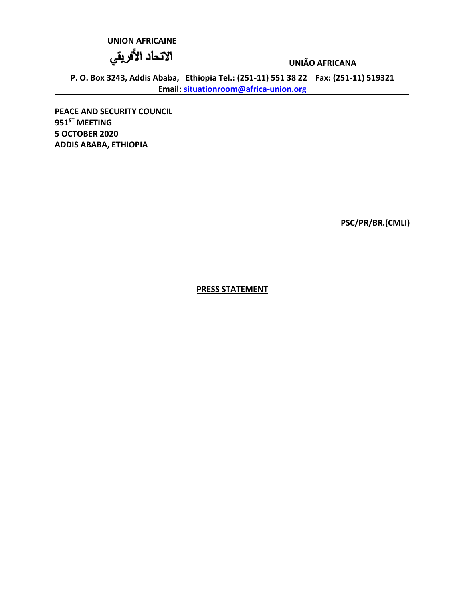## **UNION AFRICAINE**

الاتحاد الأفريقي

**UNIÃO AFRICANA**

**P. O. Box 3243, Addis Ababa, Ethiopia Tel.: (251-11) 551 38 22 Fax: (251-11) 519321 Email: [situationroom@africa-union.org](mailto:situationroom@africa-union.org)**

**PEACE AND SECURITY COUNCIL 951ST MEETING 5 OCTOBER 2020 ADDIS ABABA, ETHIOPIA**

**PSC/PR/BR.(CMLI)**

**PRESS STATEMENT**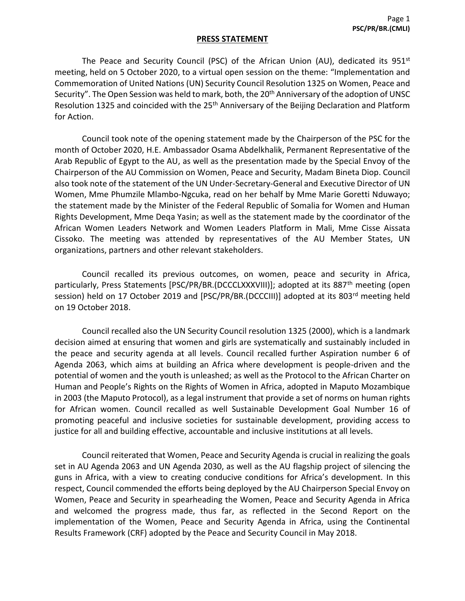## **PRESS STATEMENT**

The Peace and Security Council (PSC) of the African Union (AU), dedicated its  $951<sup>st</sup>$ meeting, held on 5 October 2020, to a virtual open session on the theme: "Implementation and Commemoration of United Nations (UN) Security Council Resolution 1325 on Women, Peace and Security". The Open Session was held to mark, both, the 20<sup>th</sup> Anniversary of the adoption of UNSC Resolution 1325 and coincided with the 25<sup>th</sup> Anniversary of the Beijing Declaration and Platform for Action.

Council took note of the opening statement made by the Chairperson of the PSC for the month of October 2020, H.E. Ambassador Osama Abdelkhalik, Permanent Representative of the Arab Republic of Egypt to the AU, as well as the presentation made by the Special Envoy of the Chairperson of the AU Commission on Women, Peace and Security, Madam Bineta Diop. Council also took note of the statement of the UN Under-Secretary-General and Executive Director of UN Women, Mme Phumzile Mlambo-Ngcuka, read on her behalf by Mme Marie Goretti Nduwayo; the statement made by the Minister of the Federal Republic of Somalia for Women and Human Rights Development, Mme Deqa Yasin; as well as the statement made by the coordinator of the African Women Leaders Network and Women Leaders Platform in Mali, Mme Cisse Aissata Cissoko. The meeting was attended by representatives of the AU Member States, UN organizations, partners and other relevant stakeholders.

Council recalled its previous outcomes, on women, peace and security in Africa, particularly, Press Statements [PSC/PR/BR.(DCCCLXXXVIII)]; adopted at its 887<sup>th</sup> meeting (open session) held on 17 October 2019 and [PSC/PR/BR.(DCCCIII)] adopted at its 803<sup>rd</sup> meeting held on 19 October 2018.

Council recalled also the UN Security Council resolution 1325 (2000), which is a landmark decision aimed at ensuring that women and girls are systematically and sustainably included in the peace and security agenda at all levels. Council recalled further Aspiration number 6 of Agenda 2063, which aims at building an Africa where development is people-driven and the potential of women and the youth is unleashed; as well as the Protocol to the African Charter on Human and People's Rights on the Rights of Women in Africa, adopted in Maputo Mozambique in 2003 (the Maputo Protocol), as a legal instrument that provide a set of norms on human rights for African women. Council recalled as well Sustainable Development Goal Number 16 of promoting peaceful and inclusive societies for sustainable development, providing access to justice for all and building effective, accountable and inclusive institutions at all levels.

Council reiterated that Women, Peace and Security Agenda is crucial in realizing the goals set in AU Agenda 2063 and UN Agenda 2030, as well as the AU flagship project of silencing the guns in Africa, with a view to creating conducive conditions for Africa's development. In this respect, Council commended the efforts being deployed by the AU Chairperson Special Envoy on Women, Peace and Security in spearheading the Women, Peace and Security Agenda in Africa and welcomed the progress made, thus far, as reflected in the Second Report on the implementation of the Women, Peace and Security Agenda in Africa, using the Continental Results Framework (CRF) adopted by the Peace and Security Council in May 2018.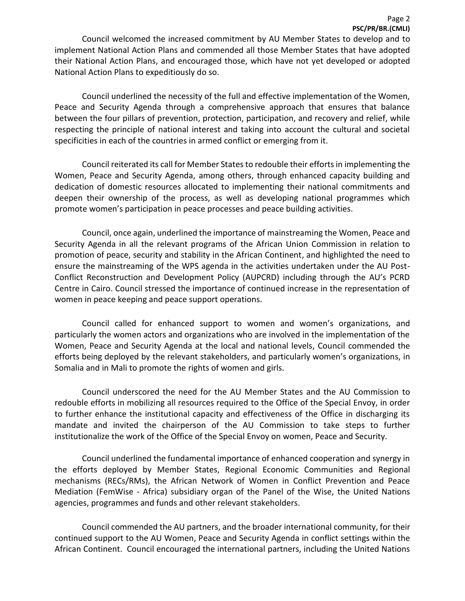Council welcomed the increased commitment by AU Member States to develop and to implement National Action Plans and commended all those Member States that have adopted their National Action Plans, and encouraged those, which have not yet developed or adopted National Action Plans to expeditiously do so.

Council underlined the necessity of the full and effective implementation of the Women, Peace and Security Agenda through a comprehensive approach that ensures that balance between the four pillars of prevention, protection, participation, and recovery and relief, while respecting the principle of national interest and taking into account the cultural and societal specificities in each of the countries in armed conflict or emerging from it.

Council reiterated its call for Member States to redouble their efforts in implementing the Women, Peace and Security Agenda, among others, through enhanced capacity building and dedication of domestic resources allocated to implementing their national commitments and deepen their ownership of the process, as well as developing national programmes which promote women's participation in peace processes and peace building activities.

Council, once again, underlined the importance of mainstreaming the Women, Peace and Security Agenda in all the relevant programs of the African Union Commission in relation to promotion of peace, security and stability in the African Continent, and highlighted the need to ensure the mainstreaming of the WPS agenda in the activities undertaken under the AU Post-Conflict Reconstruction and Development Policy (AUPCRD) including through the AU's PCRD Centre in Cairo. Council stressed the importance of continued increase in the representation of women in peace keeping and peace support operations.

Council called for enhanced support to women and women's organizations, and particularly the women actors and organizations who are involved in the implementation of the Women, Peace and Security Agenda at the local and national levels, Council commended the efforts being deployed by the relevant stakeholders, and particularly women's organizations, in Somalia and in Mali to promote the rights of women and girls.

Council underscored the need for the AU Member States and the AU Commission to redouble efforts in mobilizing all resources required to the Office of the Special Envoy, in order to further enhance the institutional capacity and effectiveness of the Office in discharging its mandate and invited the chairperson of the AU Commission to take steps to further institutionalize the work of the Office of the Special Envoy on women, Peace and Security.

Council underlined the fundamental importance of enhanced cooperation and synergy in the efforts deployed by Member States, Regional Economic Communities and Regional mechanisms (RECs/RMs), the African Network of Women in Conflict Prevention and Peace Mediation (FemWise - Africa) subsidiary organ of the Panel of the Wise, the United Nations agencies, programmes and funds and other relevant stakeholders.

Council commended the AU partners, and the broader international community, for their continued support to the AU Women, Peace and Security Agenda in conflict settings within the African Continent. Council encouraged the international partners, including the United Nations